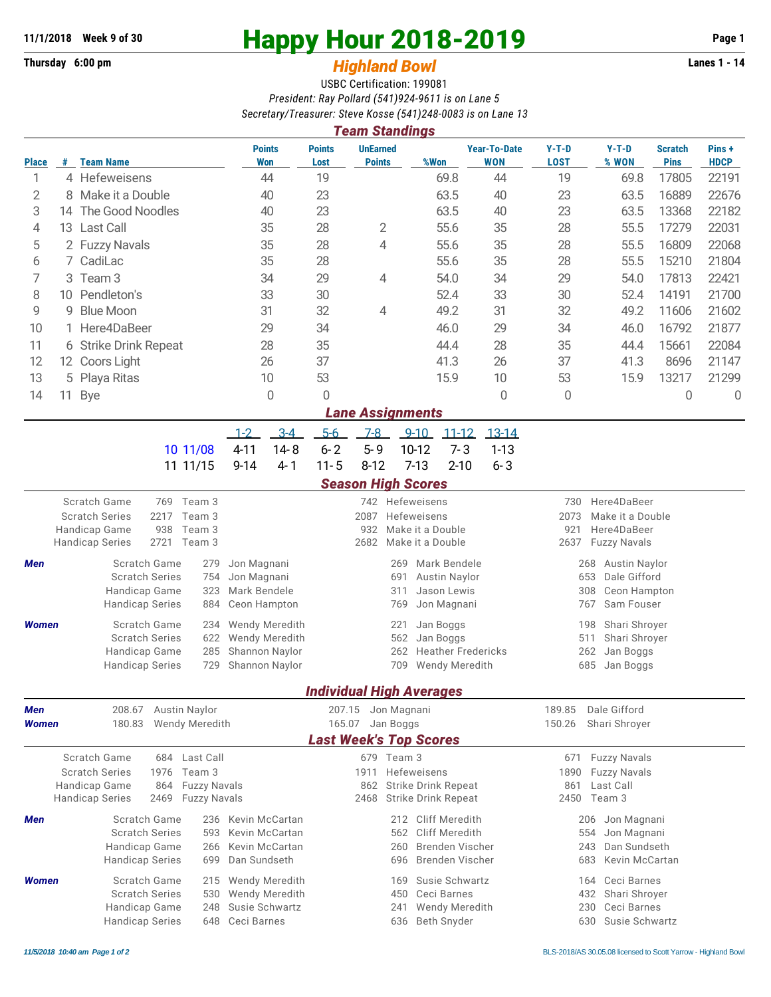## **Thursday 6:00 pm** *Highland Bowl*

## **11/1/2018** Week 9 of 30<br> **Happy Hour 2018-2019** Page 1<br> **Highland Rowl Lanes 1 - 14**<br>
Lanes 1 - 14

## USBC Certification: 199081 *President: Ray Pollard (541)924-9611 is on Lane 5 Secretary/Treasurer: Steve Kosse (541)248-0083 is on Lane 13*

|                                                                                                            | <b>Team Standings</b>  |                                                                                                              |                                                                      |                       |                                              |                                                                                                |                                   |                                                                                                |                                |                        |                      |  |  |
|------------------------------------------------------------------------------------------------------------|------------------------|--------------------------------------------------------------------------------------------------------------|----------------------------------------------------------------------|-----------------------|----------------------------------------------|------------------------------------------------------------------------------------------------|-----------------------------------|------------------------------------------------------------------------------------------------|--------------------------------|------------------------|----------------------|--|--|
| <b>Place</b>                                                                                               |                        | # Team Name                                                                                                  | <b>Points</b><br><b>Won</b>                                          | <b>Points</b><br>Lost | <b>UnEarned</b><br><b>Points</b>             | %Won                                                                                           | <b>Year-To-Date</b><br><b>WON</b> | $Y-T-D$<br><b>LOST</b>                                                                         | $Y-T-D$<br>% WON               | Scratch<br><b>Pins</b> | Pins+<br><b>HDCP</b> |  |  |
| 1                                                                                                          |                        | 4 Hefeweisens                                                                                                | 44                                                                   | 19                    |                                              |                                                                                                | 44<br>69.8                        |                                                                                                | 69.8                           | 17805                  | 22191                |  |  |
| 2                                                                                                          | 8                      | Make it a Double                                                                                             | 40                                                                   | 23                    |                                              | 63.5                                                                                           | 40                                | 23                                                                                             | 63.5                           | 16889                  | 22676                |  |  |
| 3                                                                                                          | 14                     | The Good Noodles                                                                                             | 40                                                                   | 23                    |                                              | 63.5                                                                                           | 40                                | 23                                                                                             | 63.5                           | 13368                  | 22182                |  |  |
| 4                                                                                                          | 13                     | Last Call<br>35                                                                                              |                                                                      | 28                    | 2<br>55.6                                    |                                                                                                | 35                                | 28                                                                                             | 55.5                           | 17279                  | 22031                |  |  |
| 5                                                                                                          | 2 Fuzzy Navals         |                                                                                                              | 35                                                                   | 28                    | 4                                            | 55.6                                                                                           | 35                                | 28                                                                                             | 55.5                           | 16809                  | 22068                |  |  |
| 6                                                                                                          | CadiLac<br>7.          |                                                                                                              | 35                                                                   | 28                    |                                              | 55.6                                                                                           | 35                                | 28                                                                                             | 55.5                           | 15210                  | 21804                |  |  |
| 7                                                                                                          | Team <sub>3</sub><br>3 |                                                                                                              | 34                                                                   | 29                    | 4                                            | 54.0                                                                                           | 34                                | 29                                                                                             | 54.0                           | 17813                  | 22421                |  |  |
| 8                                                                                                          | Pendleton's<br>10      |                                                                                                              | 33                                                                   | 30                    |                                              | 52.4                                                                                           | 33                                | 30                                                                                             | 52.4                           | 14191                  | 21700                |  |  |
| 9                                                                                                          | <b>Blue Moon</b><br>9  |                                                                                                              | 31                                                                   | 32                    | 4                                            | 49.2                                                                                           | 31                                | 32                                                                                             | 49.2                           | 11606                  | 21602                |  |  |
| 10                                                                                                         |                        | Here4DaBeer                                                                                                  | 29                                                                   | 34                    |                                              | 46.0<br>29                                                                                     |                                   | 34                                                                                             | 46.0                           | 16792                  | 21877                |  |  |
| 11                                                                                                         | 6                      | <b>Strike Drink Repeat</b>                                                                                   | 28                                                                   | 35                    |                                              | 44.4                                                                                           | 28                                | 35                                                                                             | 44.4                           | 15661                  | 22084                |  |  |
| 12                                                                                                         |                        | 12 Coors Light                                                                                               | 26                                                                   | 37                    |                                              | 41.3                                                                                           | 26                                | 37                                                                                             | 41.3                           | 8696                   | 21147                |  |  |
| 13                                                                                                         | Playa Ritas<br>5       |                                                                                                              | 10                                                                   | 53                    |                                              | 15.9                                                                                           | 10                                | 53                                                                                             | 15.9                           | 13217                  | 21299                |  |  |
| 14                                                                                                         | 11                     | <b>Bye</b>                                                                                                   | $\overline{0}$                                                       | 0                     |                                              |                                                                                                | 0                                 | 0                                                                                              |                                | 0                      | $\overline{0}$       |  |  |
|                                                                                                            |                        |                                                                                                              |                                                                      |                       | <b>Lane Assignments</b>                      |                                                                                                |                                   |                                                                                                |                                |                        |                      |  |  |
|                                                                                                            |                        |                                                                                                              | $3-4$<br>$1 - 2$                                                     | $5-6$                 | $7-8$                                        | $9 - 10$                                                                                       | $11 - 12$<br>13-14                |                                                                                                |                                |                        |                      |  |  |
|                                                                                                            |                        | 10 11/08                                                                                                     | $4 - 11$<br>$14 - 8$                                                 | $6 - 2$               | $5 - 9$                                      | 10-12                                                                                          | $7 - 3$<br>$1 - 13$               |                                                                                                |                                |                        |                      |  |  |
|                                                                                                            |                        | 11 11/15                                                                                                     | $9 - 14$<br>$4 - 1$                                                  | $11 - 5$              | $8 - 12$                                     | $7 - 13$                                                                                       | $2 - 10$<br>$6 - 3$               |                                                                                                |                                |                        |                      |  |  |
|                                                                                                            |                        |                                                                                                              |                                                                      |                       |                                              | <b>Season High Scores</b>                                                                      |                                   |                                                                                                |                                |                        |                      |  |  |
| Scratch Game<br>Team 3<br>769<br><b>Scratch Series</b><br>2217<br>Team 3<br>938<br>Handicap Game<br>Team 3 |                        |                                                                                                              |                                                                      |                       | 2087<br>932                                  | 742 Hefeweisens<br>Hefeweisens<br>Make it a Double                                             |                                   | Here4DaBeer<br>730<br>2073<br>Make it a Double<br>Here4DaBeer<br>921                           |                                |                        |                      |  |  |
|                                                                                                            |                        | 2721<br>Team 3<br><b>Handicap Series</b>                                                                     |                                                                      |                       | 2682                                         | Make it a Double                                                                               |                                   | 2637<br><b>Fuzzy Navals</b>                                                                    |                                |                        |                      |  |  |
| <b>Men</b>                                                                                                 |                        | Scratch Game<br>279<br><b>Scratch Series</b><br>754<br>Handicap Game<br>323<br><b>Handicap Series</b><br>884 | Jon Magnani<br>Jon Magnani<br>Mark Bendele<br>Ceon Hampton           |                       |                                              | Mark Bendele<br>269<br>691<br><b>Austin Naylor</b><br>Jason Lewis<br>311<br>Jon Magnani<br>769 |                                   | <b>Austin Naylor</b><br>268<br>Dale Gifford<br>653<br>308<br>Ceon Hampton<br>767<br>Sam Fouser |                                |                        |                      |  |  |
| <b>Women</b>                                                                                               |                        | Scratch Game<br>234<br><b>Scratch Series</b><br>622<br>Handicap Game<br>285<br><b>Handicap Series</b><br>729 | Wendy Meredith<br>Wendy Meredith<br>Shannon Naylor<br>Shannon Naylor |                       |                                              | 221<br>Jan Boggs<br>Jan Boggs<br>562<br>262<br>709<br>Wendy Meredith                           | <b>Heather Fredericks</b>         | Shari Shroyer<br>198<br>511<br>Shari Shroyer<br>262<br>Jan Boggs<br>685<br>Jan Boggs           |                                |                        |                      |  |  |
|                                                                                                            |                        |                                                                                                              |                                                                      |                       |                                              | <b>Individual High Averages</b>                                                                |                                   |                                                                                                |                                |                        |                      |  |  |
| Men<br>Women                                                                                               |                        | 208.67<br><b>Austin Naylor</b><br>180.83<br>Wendy Meredith                                                   |                                                                      |                       | 207.15<br>Jon Magnani<br>165.07<br>Jan Boggs |                                                                                                |                                   | Dale Gifford<br>189.85<br>150.26<br>Shari Shroyer                                              |                                |                        |                      |  |  |
|                                                                                                            |                        |                                                                                                              |                                                                      |                       |                                              | <b>Last Week's Top Scores</b>                                                                  |                                   |                                                                                                |                                |                        |                      |  |  |
|                                                                                                            |                        | Scratch Game<br>684 Last Call                                                                                |                                                                      |                       | 679 Team 3                                   |                                                                                                |                                   | 671                                                                                            | <b>Fuzzy Navals</b>            |                        |                      |  |  |
|                                                                                                            |                        | <b>Scratch Series</b><br>1976<br>Team 3                                                                      |                                                                      |                       | Hefeweisens<br>1911                          |                                                                                                |                                   |                                                                                                | 1890<br><b>Fuzzy Navals</b>    |                        |                      |  |  |
|                                                                                                            |                        | Handicap Game<br><b>Fuzzy Navals</b><br>864                                                                  |                                                                      |                       | 862                                          | <b>Strike Drink Repeat</b>                                                                     |                                   | Last Call<br>861                                                                               |                                |                        |                      |  |  |
|                                                                                                            |                        | <b>Handicap Series</b><br><b>Fuzzy Navals</b><br>2469                                                        |                                                                      | 2468                  | <b>Strike Drink Repeat</b>                   |                                                                                                | 2450                              | Team 3                                                                                         |                                |                        |                      |  |  |
| Men                                                                                                        |                        | Scratch Game                                                                                                 | 236 Kevin McCartan                                                   |                       |                                              | <b>Cliff Meredith</b><br>212                                                                   |                                   | 206                                                                                            | Jon Magnani                    |                        |                      |  |  |
|                                                                                                            |                        | <b>Scratch Series</b><br>Kevin McCartan<br>593                                                               |                                                                      |                       |                                              | Cliff Meredith<br>562                                                                          |                                   | Jon Magnani<br>554                                                                             |                                |                        |                      |  |  |
|                                                                                                            |                        | Handicap Game<br>266<br><b>Handicap Series</b><br>699                                                        | Kevin McCartan<br>Dan Sundseth                                       |                       |                                              | <b>Brenden Vischer</b><br>260<br>696<br>Brenden Vischer                                        |                                   | 243<br>683                                                                                     | Dan Sundseth<br>Kevin McCartan |                        |                      |  |  |
| <b>Women</b>                                                                                               |                        | Scratch Game<br>215                                                                                          | Wendy Meredith                                                       |                       |                                              | Susie Schwartz<br>169                                                                          |                                   | 164                                                                                            | Ceci Barnes                    |                        |                      |  |  |
|                                                                                                            |                        | <b>Scratch Series</b><br>530                                                                                 | Wendy Meredith                                                       |                       |                                              | 450<br>Ceci Barnes                                                                             |                                   | 432                                                                                            | Shari Shroyer                  |                        |                      |  |  |
|                                                                                                            |                        | Handicap Game<br>248                                                                                         | Susie Schwartz                                                       |                       |                                              | Wendy Meredith<br>241                                                                          |                                   | 230                                                                                            | Ceci Barnes                    |                        |                      |  |  |
|                                                                                                            |                        | <b>Handicap Series</b>                                                                                       | 648<br>Ceci Barnes                                                   |                       |                                              | Beth Snyder<br>636                                                                             |                                   |                                                                                                | 630 Susie Schwartz             |                        |                      |  |  |